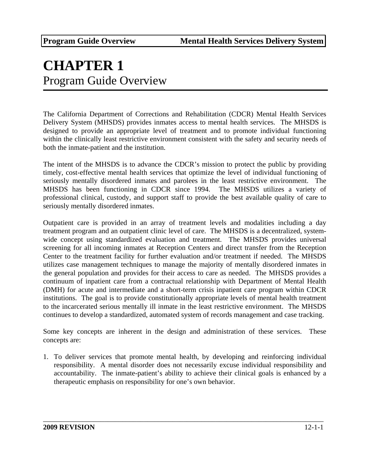# **CHAPTER 1**  Program Guide Overview

The California Department of Corrections and Rehabilitation (CDCR) Mental Health Services Delivery System (MHSDS) provides inmates access to mental health services. The MHSDS is designed to provide an appropriate level of treatment and to promote individual functioning within the clinically least restrictive environment consistent with the safety and security needs of both the inmate-patient and the institution.

The intent of the MHSDS is to advance the CDCR's mission to protect the public by providing timely, cost-effective mental health services that optimize the level of individual functioning of seriously mentally disordered inmates and parolees in the least restrictive environment. The MHSDS has been functioning in CDCR since 1994. The MHSDS utilizes a variety of professional clinical, custody, and support staff to provide the best available quality of care to seriously mentally disordered inmates.

Outpatient care is provided in an array of treatment levels and modalities including a day treatment program and an outpatient clinic level of care. The MHSDS is a decentralized, systemwide concept using standardized evaluation and treatment. The MHSDS provides universal screening for all incoming inmates at Reception Centers and direct transfer from the Reception Center to the treatment facility for further evaluation and/or treatment if needed. The MHSDS utilizes case management techniques to manage the majority of mentally disordered inmates in the general population and provides for their access to care as needed. The MHSDS provides a continuum of inpatient care from a contractual relationship with Department of Mental Health (DMH) for acute and intermediate and a short-term crisis inpatient care program within CDCR institutions. The goal is to provide constitutionally appropriate levels of mental health treatment to the incarcerated serious mentally ill inmate in the least restrictive environment. The MHSDS continues to develop a standardized, automated system of records management and case tracking.

Some key concepts are inherent in the design and administration of these services. These concepts are:

1. To deliver services that promote mental health, by developing and reinforcing individual responsibility. A mental disorder does not necessarily excuse individual responsibility and accountability. The inmate-patient's ability to achieve their clinical goals is enhanced by a therapeutic emphasis on responsibility for one's own behavior.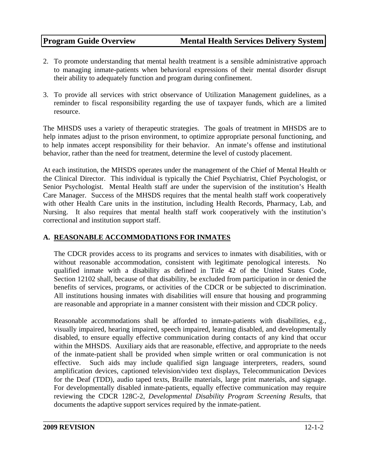- 2. To promote understanding that mental health treatment is a sensible administrative approach to managing inmate-patients when behavioral expressions of their mental disorder disrupt their ability to adequately function and program during confinement.
- 3. To provide all services with strict observance of Utilization Management guidelines, as a reminder to fiscal responsibility regarding the use of taxpayer funds, which are a limited resource.

The MHSDS uses a variety of therapeutic strategies. The goals of treatment in MHSDS are to help inmates adjust to the prison environment, to optimize appropriate personal functioning, and to help inmates accept responsibility for their behavior. An inmate's offense and institutional behavior, rather than the need for treatment, determine the level of custody placement.

At each institution, the MHSDS operates under the management of the Chief of Mental Health or the Clinical Director. This individual is typically the Chief Psychiatrist, Chief Psychologist, or Senior Psychologist. Mental Health staff are under the supervision of the institution's Health Care Manager. Success of the MHSDS requires that the mental health staff work cooperatively with other Health Care units in the institution, including Health Records, Pharmacy, Lab, and Nursing. It also requires that mental health staff work cooperatively with the institution's correctional and institution support staff.

# **A. REASONABLE ACCOMMODATIONS FOR INMATES**

The CDCR provides access to its programs and services to inmates with disabilities, with or without reasonable accommodation, consistent with legitimate penological interests. No qualified inmate with a disability as defined in Title 42 of the United States Code, Section 12102 shall, because of that disability, be excluded from participation in or denied the benefits of services, programs, or activities of the CDCR or be subjected to discrimination. All institutions housing inmates with disabilities will ensure that housing and programming are reasonable and appropriate in a manner consistent with their mission and CDCR policy.

Reasonable accommodations shall be afforded to inmate-patients with disabilities, e.g., visually impaired, hearing impaired, speech impaired, learning disabled, and developmentally disabled, to ensure equally effective communication during contacts of any kind that occur within the MHSDS. Auxiliary aids that are reasonable, effective, and appropriate to the needs of the inmate-patient shall be provided when simple written or oral communication is not effective. Such aids may include qualified sign language interpreters, readers, sound amplification devices, captioned television/video text displays, Telecommunication Devices for the Deaf (TDD), audio taped texts, Braille materials, large print materials, and signage. For developmentally disabled inmate-patients, equally effective communication may require reviewing the CDCR 128C-2, *Developmental Disability Program Screening Results*, that documents the adaptive support services required by the inmate-patient.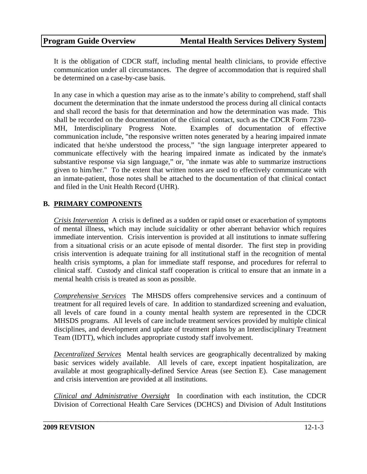It is the obligation of CDCR staff, including mental health clinicians, to provide effective communication under all circumstances. The degree of accommodation that is required shall be determined on a case-by-case basis.

In any case in which a question may arise as to the inmate's ability to comprehend, staff shall document the determination that the inmate understood the process during all clinical contacts and shall record the basis for that determination and how the determination was made. This shall be recorded on the documentation of the clinical contact, such as the CDCR Form 7230- MH, Interdisciplinary Progress Note. Examples of documentation of effective communication include, "the responsive written notes generated by a hearing impaired inmate indicated that he/she understood the process," "the sign language interpreter appeared to communicate effectively with the hearing impaired inmate as indicated by the inmate's substantive response via sign language," or, "the inmate was able to summarize instructions given to him/her." To the extent that written notes are used to effectively communicate with an inmate-patient, those notes shall be attached to the documentation of that clinical contact and filed in the Unit Health Record (UHR).

# **B. PRIMARY COMPONENTS**

*Crisis Intervention* A crisis is defined as a sudden or rapid onset or exacerbation of symptoms of mental illness, which may include suicidality or other aberrant behavior which requires immediate intervention. Crisis intervention is provided at all institutions to inmate suffering from a situational crisis or an acute episode of mental disorder. The first step in providing crisis intervention is adequate training for all institutional staff in the recognition of mental health crisis symptoms, a plan for immediate staff response, and procedures for referral to clinical staff. Custody and clinical staff cooperation is critical to ensure that an inmate in a mental health crisis is treated as soon as possible.

*Comprehensive Services* The MHSDS offers comprehensive services and a continuum of treatment for all required levels of care. In addition to standardized screening and evaluation, all levels of care found in a county mental health system are represented in the CDCR MHSDS programs. All levels of care include treatment services provided by multiple clinical disciplines, and development and update of treatment plans by an Interdisciplinary Treatment Team (IDTT), which includes appropriate custody staff involvement.

*Decentralized Services* Mental health services are geographically decentralized by making basic services widely available. All levels of care, except inpatient hospitalization, are available at most geographically-defined Service Areas (see Section E). Case management and crisis intervention are provided at all institutions.

*Clinical and Administrative Oversight* In coordination with each institution, the CDCR Division of Correctional Health Care Services (DCHCS) and Division of Adult Institutions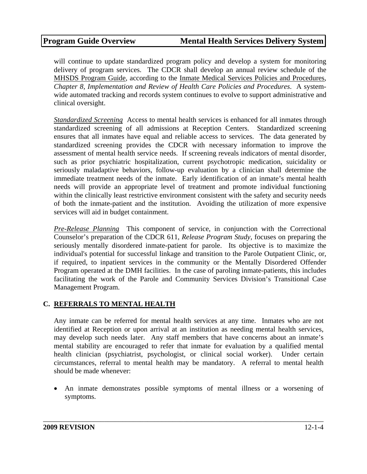will continue to update standardized program policy and develop a system for monitoring delivery of program services. The CDCR shall develop an annual review schedule of the MHSDS Program Guide, according to the Inmate Medical Services Policies and Procedures, *Chapter 8, Implementation and Review of Health Care Policies and Procedures*. A systemwide automated tracking and records system continues to evolve to support administrative and clinical oversight.

*Standardized Screening* Access to mental health services is enhanced for all inmates through standardized screening of all admissions at Reception Centers. Standardized screening ensures that all inmates have equal and reliable access to services. The data generated by standardized screening provides the CDCR with necessary information to improve the assessment of mental health service needs. If screening reveals indicators of mental disorder, such as prior psychiatric hospitalization, current psychotropic medication, suicidality or seriously maladaptive behaviors, follow-up evaluation by a clinician shall determine the immediate treatment needs of the inmate. Early identification of an inmate's mental health needs will provide an appropriate level of treatment and promote individual functioning within the clinically least restrictive environment consistent with the safety and security needs of both the inmate-patient and the institution. Avoiding the utilization of more expensive services will aid in budget containment.

*Pre-Release Planning* This component of service, in conjunction with the Correctional Counselor's preparation of the CDCR 611, *Release Program Study*, focuses on preparing the seriously mentally disordered inmate-patient for parole. Its objective is to maximize the individual's potential for successful linkage and transition to the Parole Outpatient Clinic, or, if required, to inpatient services in the community or the Mentally Disordered Offender Program operated at the DMH facilities. In the case of paroling inmate-patients, this includes facilitating the work of the Parole and Community Services Division's Transitional Case Management Program.

# **C. REFERRALS TO MENTAL HEALTH**

Any inmate can be referred for mental health services at any time. Inmates who are not identified at Reception or upon arrival at an institution as needing mental health services, may develop such needs later. Any staff members that have concerns about an inmate's mental stability are encouraged to refer that inmate for evaluation by a qualified mental health clinician (psychiatrist, psychologist, or clinical social worker). Under certain circumstances, referral to mental health may be mandatory. A referral to mental health should be made whenever:

• An inmate demonstrates possible symptoms of mental illness or a worsening of symptoms.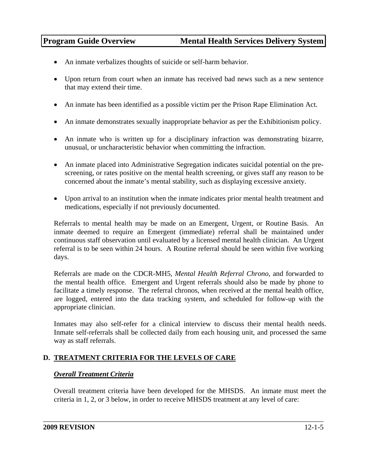- An inmate verbalizes thoughts of suicide or self-harm behavior.
- Upon return from court when an inmate has received bad news such as a new sentence that may extend their time.
- An inmate has been identified as a possible victim per the Prison Rape Elimination Act.
- An inmate demonstrates sexually inappropriate behavior as per the Exhibitionism policy.
- An inmate who is written up for a disciplinary infraction was demonstrating bizarre, unusual, or uncharacteristic behavior when committing the infraction.
- An inmate placed into Administrative Segregation indicates suicidal potential on the prescreening, or rates positive on the mental health screening, or gives staff any reason to be concerned about the inmate's mental stability, such as displaying excessive anxiety.
- Upon arrival to an institution when the inmate indicates prior mental health treatment and medications, especially if not previously documented.

Referrals to mental health may be made on an Emergent, Urgent, or Routine Basis. An inmate deemed to require an Emergent (immediate) referral shall be maintained under continuous staff observation until evaluated by a licensed mental health clinician. An Urgent referral is to be seen within 24 hours. A Routine referral should be seen within five working days.

Referrals are made on the CDCR-MH5*, Mental Health Referral Chrono*, and forwarded to the mental health office. Emergent and Urgent referrals should also be made by phone to facilitate a timely response. The referral chronos, when received at the mental health office, are logged, entered into the data tracking system, and scheduled for follow-up with the appropriate clinician.

Inmates may also self-refer for a clinical interview to discuss their mental health needs. Inmate self-referrals shall be collected daily from each housing unit, and processed the same way as staff referrals.

# **D. TREATMENT CRITERIA FOR THE LEVELS OF CARE**

### **Overall Treatment Criteria**

Overall treatment criteria have been developed for the MHSDS. An inmate must meet the criteria in 1, 2, or 3 below, in order to receive MHSDS treatment at any level of care: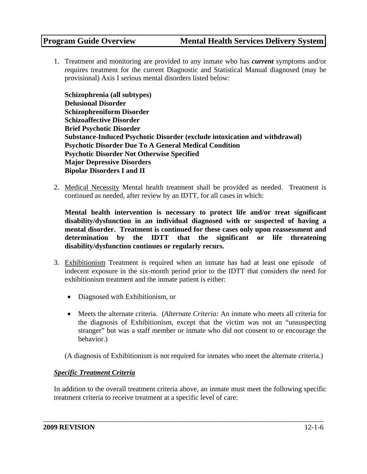1. Treatment and monitoring are provided to any inmate who has *current* symptoms and/or requires treatment for the current Diagnostic and Statistical Manual diagnosed (may be provisional) Axis I serious mental disorders listed below:

**Schizophrenia (all subtypes) Delusional Disorder Schizophreniform Disorder Schizoaffective Disorder Brief Psychotic Disorder Substance-Induced Psychotic Disorder (exclude intoxication and withdrawal) Psychotic Disorder Due To A General Medical Condition Psychotic Disorder Not Otherwise Specified Major Depressive Disorders Bipolar Disorders I and II** 

2. Medical Necessity Mental health treatment shall be provided as needed. Treatment is continued as needed, after review by an IDTT, for all cases in which:

**Mental health intervention is necessary to protect life and/or treat significant disability/dysfunction in an individual diagnosed with or suspected of having a mental disorder. Treatment is continued for these cases only upon reassessment and determination by the IDTT that the significant or life threatening disability/dysfunction continues or regularly recurs.**

- 3. Exhibitionism Treatment is required when an inmate has had at least one episode of indecent exposure in the six-month period prior to the IDTT that considers the need for exhibitionism treatment and the inmate patient is either:
	- Diagnosed with Exhibitionism, or
	- Meets the alternate criteria. (*Alternate Criteria:* An inmate who meets all criteria for the diagnosis of Exhibitionism, except that the victim was not an "unsuspecting stranger" but was a staff member or inmate who did not consent to or encourage the behavior.)

(A diagnosis of Exhibitionism is not required for inmates who meet the alternate criteria.)

# **Specific Treatment Criteria**

In addition to the overall treatment criteria above, an inmate must meet the following specific treatment criteria to receive treatment at a specific level of care: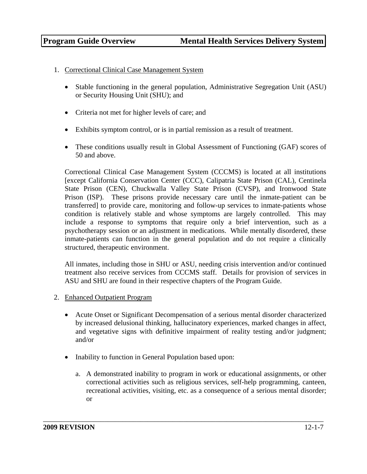### 1. Correctional Clinical Case Management System

- Stable functioning in the general population, Administrative Segregation Unit (ASU) or Security Housing Unit (SHU); and
- Criteria not met for higher levels of care; and
- Exhibits symptom control, or is in partial remission as a result of treatment.
- These conditions usually result in Global Assessment of Functioning (GAF) scores of 50 and above.

Correctional Clinical Case Management System (CCCMS) is located at all institutions [except California Conservation Center (CCC), Calipatria State Prison (CAL), Centinela State Prison (CEN), Chuckwalla Valley State Prison (CVSP), and Ironwood State Prison (ISP). These prisons provide necessary care until the inmate-patient can be transferred] to provide care, monitoring and follow-up services to inmate-patients whose condition is relatively stable and whose symptoms are largely controlled. This may include a response to symptoms that require only a brief intervention, such as a psychotherapy session or an adjustment in medications. While mentally disordered, these inmate-patients can function in the general population and do not require a clinically structured, therapeutic environment.

All inmates, including those in SHU or ASU, needing crisis intervention and/or continued treatment also receive services from CCCMS staff. Details for provision of services in ASU and SHU are found in their respective chapters of the Program Guide.

- 2. Enhanced Outpatient Program
	- Acute Onset or Significant Decompensation of a serious mental disorder characterized by increased delusional thinking, hallucinatory experiences, marked changes in affect, and vegetative signs with definitive impairment of reality testing and/or judgment; and/or
	- Inability to function in General Population based upon:
		- a. A demonstrated inability to program in work or educational assignments, or other correctional activities such as religious services, self-help programming, canteen, recreational activities, visiting, etc. as a consequence of a serious mental disorder; or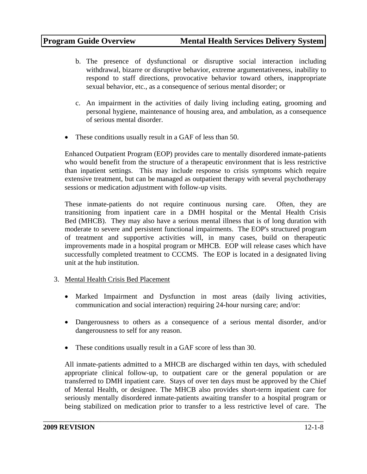- b. The presence of dysfunctional or disruptive social interaction including withdrawal, bizarre or disruptive behavior, extreme argumentativeness, inability to respond to staff directions, provocative behavior toward others, inappropriate sexual behavior, etc., as a consequence of serious mental disorder; or
- c. An impairment in the activities of daily living including eating, grooming and personal hygiene, maintenance of housing area, and ambulation, as a consequence of serious mental disorder.
- These conditions usually result in a GAF of less than 50.

Enhanced Outpatient Program (EOP) provides care to mentally disordered inmate-patients who would benefit from the structure of a therapeutic environment that is less restrictive than inpatient settings. This may include response to crisis symptoms which require extensive treatment, but can be managed as outpatient therapy with several psychotherapy sessions or medication adjustment with follow-up visits.

These inmate-patients do not require continuous nursing care. Often, they are transitioning from inpatient care in a DMH hospital or the Mental Health Crisis Bed (MHCB). They may also have a serious mental illness that is of long duration with moderate to severe and persistent functional impairments. The EOP's structured program of treatment and supportive activities will, in many cases, build on therapeutic improvements made in a hospital program or MHCB. EOP will release cases which have successfully completed treatment to CCCMS. The EOP is located in a designated living unit at the hub institution.

# 3. Mental Health Crisis Bed Placement

- Marked Impairment and Dysfunction in most areas (daily living activities, communication and social interaction) requiring 24-hour nursing care; and/or:
- Dangerousness to others as a consequence of a serious mental disorder, and/or dangerousness to self for any reason.
- These conditions usually result in a GAF score of less than 30.

All inmate-patients admitted to a MHCB are discharged within ten days, with scheduled appropriate clinical follow-up, to outpatient care or the general population or are transferred to DMH inpatient care. Stays of over ten days must be approved by the Chief of Mental Health, or designee. The MHCB also provides short-term inpatient care for seriously mentally disordered inmate-patients awaiting transfer to a hospital program or being stabilized on medication prior to transfer to a less restrictive level of care. The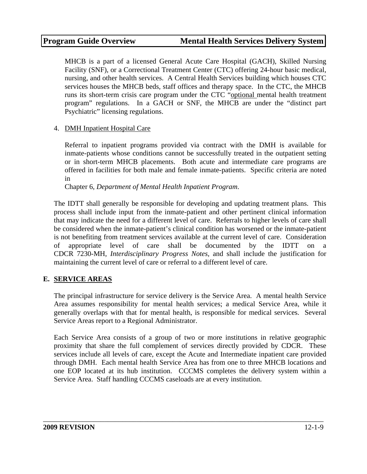MHCB is a part of a licensed General Acute Care Hospital (GACH), Skilled Nursing Facility (SNF), or a Correctional Treatment Center (CTC) offering 24-hour basic medical, nursing, and other health services. A Central Health Services building which houses CTC services houses the MHCB beds, staff offices and therapy space. In the CTC, the MHCB runs its short-term crisis care program under the CTC "optional mental health treatment program" regulations. In a GACH or SNF, the MHCB are under the "distinct part Psychiatric" licensing regulations.

### 4. DMH Inpatient Hospital Care

Referral to inpatient programs provided via contract with the DMH is available for inmate-patients whose conditions cannot be successfully treated in the outpatient setting or in short-term MHCB placements. Both acute and intermediate care programs are offered in facilities for both male and female inmate-patients. Specific criteria are noted in

Chapter 6, *Department of Mental Health Inpatient Program*.

The IDTT shall generally be responsible for developing and updating treatment plans. This process shall include input from the inmate-patient and other pertinent clinical information that may indicate the need for a different level of care. Referrals to higher levels of care shall be considered when the inmate-patient's clinical condition has worsened or the inmate-patient is not benefiting from treatment services available at the current level of care. Consideration of appropriate level of care shall be documented by the IDTT on a CDCR 7230-MH, *Interdisciplinary Progress Notes,* and shall include the justification for maintaining the current level of care or referral to a different level of care.

# **E. SERVICE AREAS**

The principal infrastructure for service delivery is the Service Area. A mental health Service Area assumes responsibility for mental health services; a medical Service Area, while it generally overlaps with that for mental health, is responsible for medical services. Several Service Areas report to a Regional Administrator.

Each Service Area consists of a group of two or more institutions in relative geographic proximity that share the full complement of services directly provided by CDCR. These services include all levels of care, except the Acute and Intermediate inpatient care provided through DMH. Each mental health Service Area has from one to three MHCB locations and one EOP located at its hub institution. CCCMS completes the delivery system within a Service Area. Staff handling CCCMS caseloads are at every institution.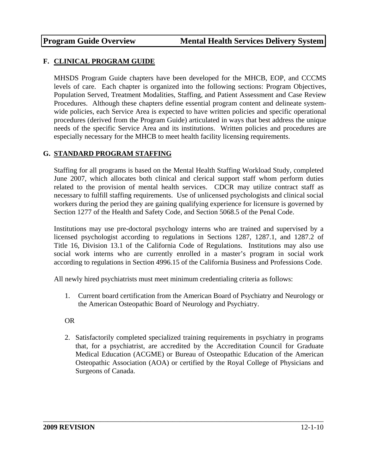# **F. CLINICAL PROGRAM GUIDE**

MHSDS Program Guide chapters have been developed for the MHCB, EOP, and CCCMS levels of care. Each chapter is organized into the following sections: Program Objectives, Population Served, Treatment Modalities, Staffing, and Patient Assessment and Case Review Procedures. Although these chapters define essential program content and delineate systemwide policies, each Service Area is expected to have written policies and specific operational procedures (derived from the Program Guide) articulated in ways that best address the unique needs of the specific Service Area and its institutions. Written policies and procedures are especially necessary for the MHCB to meet health facility licensing requirements.

# **G. STANDARD PROGRAM STAFFING**

Staffing for all programs is based on the Mental Health Staffing Workload Study, completed June 2007, which allocates both clinical and clerical support staff whom perform duties related to the provision of mental health services. CDCR may utilize contract staff as necessary to fulfill staffing requirements. Use of unlicensed psychologists and clinical social workers during the period they are gaining qualifying experience for licensure is governed by Section 1277 of the Health and Safety Code, and Section 5068.5 of the Penal Code.

Institutions may use pre-doctoral psychology interns who are trained and supervised by a licensed psychologist according to regulations in Sections 1287, 1287.1, and 1287.2 of Title 16, Division 13.1 of the California Code of Regulations. Institutions may also use social work interns who are currently enrolled in a master's program in social work according to regulations in Section 4996.15 of the California Business and Professions Code.

All newly hired psychiatrists must meet minimum credentialing criteria as follows:

1. Current board certification from the American Board of Psychiatry and Neurology or the American Osteopathic Board of Neurology and Psychiatry.

OR

2. Satisfactorily completed specialized training requirements in psychiatry in programs that, for a psychiatrist, are accredited by the Accreditation Council for Graduate Medical Education (ACGME) or Bureau of Osteopathic Education of the American Osteopathic Association (AOA) or certified by the Royal College of Physicians and Surgeons of Canada.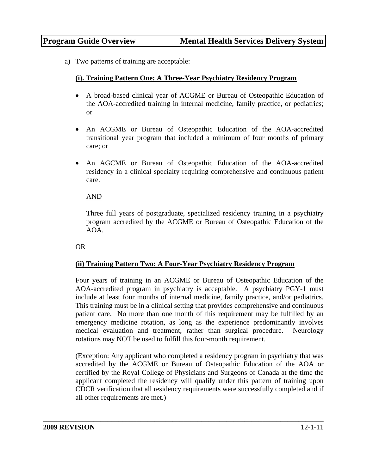a) Two patterns of training are acceptable:

# <sup>U</sup>**(i). Training Pattern One: A Three-Year Psychiatry Residency Program**

- A broad-based clinical year of ACGME or Bureau of Osteopathic Education of the AOA-accredited training in internal medicine, family practice, or pediatrics; or
- An ACGME or Bureau of Osteopathic Education of the AOA-accredited transitional year program that included a minimum of four months of primary care; or
- An AGCME or Bureau of Osteopathic Education of the AOA-accredited residency in a clinical specialty requiring comprehensive and continuous patient care.

### **AND**

Three full years of postgraduate, specialized residency training in a psychiatry program accredited by the ACGME or Bureau of Osteopathic Education of the AOA.

OR

# <sup>U</sup>**(ii) Training Pattern Two: A Four-Year Psychiatry Residency Program**

Four years of training in an ACGME or Bureau of Osteopathic Education of the AOA-accredited program in psychiatry is acceptable. A psychiatry PGY-1 must include at least four months of internal medicine, family practice, and/or pediatrics. This training must be in a clinical setting that provides comprehensive and continuous patient care. No more than one month of this requirement may be fulfilled by an emergency medicine rotation, as long as the experience predominantly involves medical evaluation and treatment, rather than surgical procedure. Neurology rotations may NOT be used to fulfill this four-month requirement.

(Exception: Any applicant who completed a residency program in psychiatry that was accredited by the ACGME or Bureau of Osteopathic Education of the AOA or certified by the Royal College of Physicians and Surgeons of Canada at the time the applicant completed the residency will qualify under this pattern of training upon CDCR verification that all residency requirements were successfully completed and if all other requirements are met.)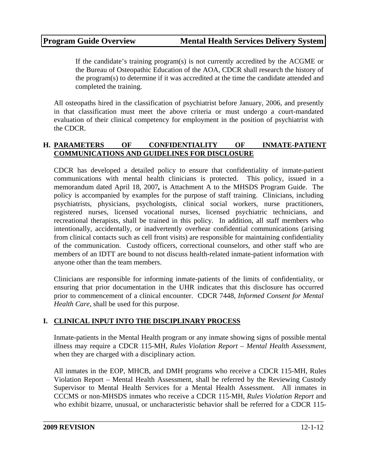If the candidate's training program(s) is not currently accredited by the ACGME or the Bureau of Osteopathic Education of the AOA, CDCR shall research the history of the program(s) to determine if it was accredited at the time the candidate attended and completed the training.

All osteopaths hired in the classification of psychiatrist before January, 2006, and presently in that classification must meet the above criteria or must undergo a court-mandated evaluation of their clinical competency for employment in the position of psychiatrist with the CDCR.

# **H. PARAMETERS OF CONFIDENTIALITY OF INMATE-PATIENT COMMUNICATIONS AND GUIDELINES FOR DISCLOSURE**

CDCR has developed a detailed policy to ensure that confidentiality of inmate-patient communications with mental health clinicians is protected. This policy, issued in a memorandum dated April 18, 2007*,* is Attachment A to the MHSDS Program Guide. The policy is accompanied by examples for the purpose of staff training. Clinicians, including psychiatrists, physicians, psychologists, clinical social workers, nurse practitioners, registered nurses, licensed vocational nurses, licensed psychiatric technicians, and recreational therapists, shall be trained in this policy. In addition, all staff members who intentionally, accidentally, or inadvertently overhear confidential communications (arising from clinical contacts such as cell front visits) are responsible for maintaining confidentiality of the communication. Custody officers, correctional counselors, and other staff who are members of an IDTT are bound to not discuss health-related inmate-patient information with anyone other than the team members.

Clinicians are responsible for informing inmate-patients of the limits of confidentiality, or ensuring that prior documentation in the UHR indicates that this disclosure has occurred prior to commencement of a clinical encounter. CDCR 7448*, Informed Consent for Mental Health Care*, shall be used for this purpose.

# **I. CLINICAL INPUT INTO THE DISCIPLINARY PROCESS**

Inmate-patients in the Mental Health program or any inmate showing signs of possible mental illness may require a CDCR 115-MH, *Rules Violation Report – Mental Health Assessment,* when they are charged with a disciplinary action.

All inmates in the EOP, MHCB, and DMH programs who receive a CDCR 115-MH, Rules Violation Report – Mental Health Assessment, shall be referred by the Reviewing Custody Supervisor to Mental Health Services for a Mental Health Assessment. All inmates in CCCMS or non-MHSDS inmates who receive a CDCR 115-MH, *Rules Violation Report* and who exhibit bizarre, unusual, or uncharacteristic behavior shall be referred for a CDCR 115-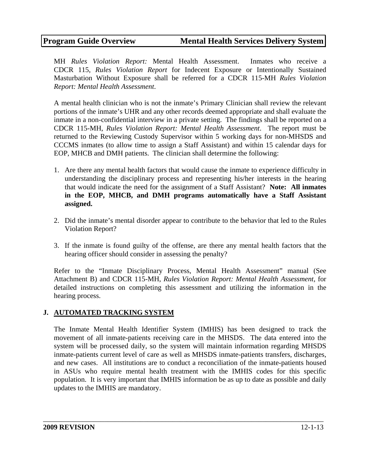MH *Rules Violation Report:* Mental Health Assessment. Inmates who receive a CDCR 115, *Rules Violation Report* for Indecent Exposure or Intentionally Sustained Masturbation Without Exposure shall be referred for a CDCR 115-MH *Rules Violation Report: Mental Health Assessment*.

A mental health clinician who is not the inmate's Primary Clinician shall review the relevant portions of the inmate's UHR and any other records deemed appropriate and shall evaluate the inmate in a non-confidential interview in a private setting. The findings shall be reported on a CDCR 115-MH, *Rules Violation Report: Mental Health Assessment*. The report must be returned to the Reviewing Custody Supervisor within 5 working days for non-MHSDS and CCCMS inmates (to allow time to assign a Staff Assistant) and within 15 calendar days for EOP, MHCB and DMH patients. The clinician shall determine the following:

- 1. Are there any mental health factors that would cause the inmate to experience difficulty in understanding the disciplinary process and representing his/her interests in the hearing that would indicate the need for the assignment of a Staff Assistant? **Note: All inmates in the EOP, MHCB, and DMH programs automatically have a Staff Assistant assigned.**
- 2. Did the inmate's mental disorder appear to contribute to the behavior that led to the Rules Violation Report?
- 3. If the inmate is found guilty of the offense, are there any mental health factors that the hearing officer should consider in assessing the penalty?

Refer to the "Inmate Disciplinary Process, Mental Health Assessment" manual (See Attachment B) and CDCR 115-MH, *Rules Violation Report: Mental Health Assessment*, for detailed instructions on completing this assessment and utilizing the information in the hearing process.

# **J. AUTOMATED TRACKING SYSTEM**

The Inmate Mental Health Identifier System (IMHIS) has been designed to track the movement of all inmate-patients receiving care in the MHSDS. The data entered into the system will be processed daily, so the system will maintain information regarding MHSDS inmate-patients current level of care as well as MHSDS inmate-patients transfers, discharges, and new cases. All institutions are to conduct a reconciliation of the inmate-patients housed in ASUs who require mental health treatment with the IMHIS codes for this specific population. It is very important that IMHIS information be as up to date as possible and daily updates to the IMHIS are mandatory.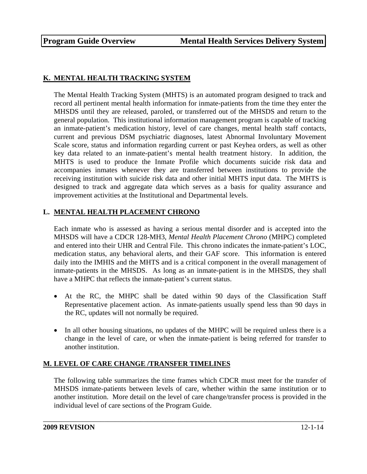# 3BU**K. MENTAL HEALTH TRACKING SYSTEM**

The Mental Health Tracking System (MHTS) is an automated program designed to track and record all pertinent mental health information for inmate-patients from the time they enter the MHSDS until they are released, paroled, or transferred out of the MHSDS and return to the general population. This institutional information management program is capable of tracking an inmate-patient's medication history, level of care changes, mental health staff contacts, current and previous DSM psychiatric diagnoses, latest Abnormal Involuntary Movement Scale score, status and information regarding current or past Keyhea orders, as well as other key data related to an inmate-patient's mental health treatment history. In addition, the MHTS is used to produce the Inmate Profile which documents suicide risk data and accompanies inmates whenever they are transferred between institutions to provide the receiving institution with suicide risk data and other initial MHTS input data. The MHTS is designed to track and aggregate data which serves as a basis for quality assurance and improvement activities at the Institutional and Departmental levels.

# **L. MENTAL HEALTH PLACEMENT CHRONO**

Each inmate who is assessed as having a serious mental disorder and is accepted into the MHSDS will have a CDCR 128-MH3, *Mental Health Placement Chrono* (MHPC) completed and entered into their UHR and Central File. This chrono indicates the inmate-patient's LOC, medication status, any behavioral alerts, and their GAF score. This information is entered daily into the IMHIS and the MHTS and is a critical component in the overall management of inmate-patients in the MHSDS. As long as an inmate-patient is in the MHSDS, they shall have a MHPC that reflects the inmate-patient's current status.

- At the RC, the MHPC shall be dated within 90 days of the Classification Staff Representative placement action. As inmate-patients usually spend less than 90 days in the RC, updates will not normally be required.
- In all other housing situations, no updates of the MHPC will be required unless there is a change in the level of care, or when the inmate-patient is being referred for transfer to another institution.

# 5BU**M. LEVEL OF CARE CHANGE /TRANSFER TIMELINES**

The following table summarizes the time frames which CDCR must meet for the transfer of MHSDS inmate-patients between levels of care, whether within the same institution or to another institution. More detail on the level of care change/transfer process is provided in the individual level of care sections of the Program Guide.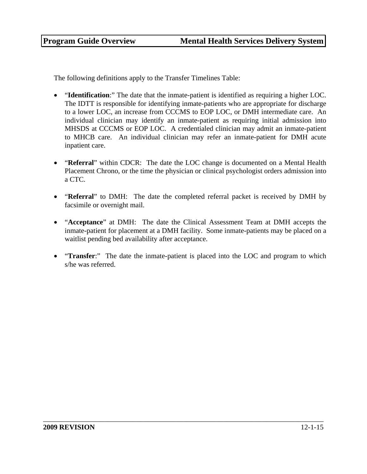The following definitions apply to the Transfer Timelines Table:

- "**Identification**:" The date that the inmate-patient is identified as requiring a higher LOC. The IDTT is responsible for identifying inmate-patients who are appropriate for discharge to a lower LOC, an increase from CCCMS to EOP LOC, or DMH intermediate care. An individual clinician may identify an inmate-patient as requiring initial admission into MHSDS at CCCMS or EOP LOC. A credentialed clinician may admit an inmate-patient to MHCB care. An individual clinician may refer an inmate-patient for DMH acute inpatient care.
- "**Referral**" within CDCR: The date the LOC change is documented on a Mental Health Placement Chrono, or the time the physician or clinical psychologist orders admission into a CTC.
- "**Referral**" to DMH: The date the completed referral packet is received by DMH by facsimile or overnight mail.
- "**Acceptance**" at DMH: The date the Clinical Assessment Team at DMH accepts the inmate-patient for placement at a DMH facility. Some inmate-patients may be placed on a waitlist pending bed availability after acceptance.
- "**Transfer**:" The date the inmate-patient is placed into the LOC and program to which s/he was referred.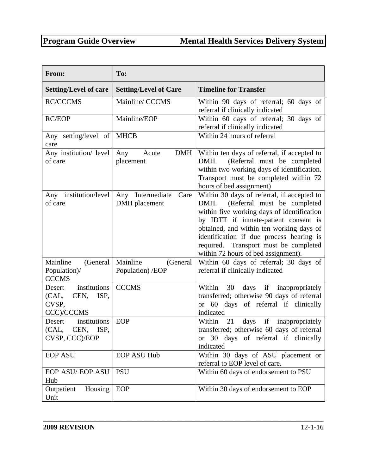| From:                                                                  | To:                                                 |                                                                                                                                                                                                                                                                                                                                                    |
|------------------------------------------------------------------------|-----------------------------------------------------|----------------------------------------------------------------------------------------------------------------------------------------------------------------------------------------------------------------------------------------------------------------------------------------------------------------------------------------------------|
| <b>Setting/Level of care</b>                                           | <b>Setting/Level of Care</b>                        | <b>Timeline for Transfer</b>                                                                                                                                                                                                                                                                                                                       |
| <b>RC/CCCMS</b>                                                        | Mainline/ CCCMS                                     | Within 90 days of referral; 60 days of<br>referral if clinically indicated                                                                                                                                                                                                                                                                         |
| <b>RC/EOP</b>                                                          | Mainline/EOP                                        | Within 60 days of referral; 30 days of<br>referral if clinically indicated                                                                                                                                                                                                                                                                         |
| Any setting/level of<br>care                                           | <b>MHCB</b>                                         | Within 24 hours of referral                                                                                                                                                                                                                                                                                                                        |
| Any institution/ level<br>of care                                      | <b>DMH</b><br>Acute<br>Any<br>placement             | Within ten days of referral, if accepted to<br>(Referral must be completed<br>DMH.<br>within two working days of identification.<br>Transport must be completed within 72<br>hours of bed assignment)                                                                                                                                              |
| Any institution/level<br>of care                                       | Intermediate<br>Care<br>Any<br><b>DMH</b> placement | Within 30 days of referral, if accepted to<br>(Referral must be completed<br>DMH.<br>within five working days of identification<br>by IDTT if inmate-patient consent is<br>obtained, and within ten working days of<br>identification if due process hearing is<br>Transport must be completed<br>required.<br>within 72 hours of bed assignment). |
| Mainline<br>(General<br>Population)/<br><b>CCCMS</b>                   | Mainline<br>(General<br>Population) /EOP            | Within 60 days of referral; 30 days of<br>referral if clinically indicated                                                                                                                                                                                                                                                                         |
| institutions<br>Desert<br>(CAL,<br>ISP,<br>CEN,<br>CVSP,<br>CCC)/CCCMS | <b>CCCMS</b>                                        | Within<br>days<br>if<br>30<br>inappropriately<br>transferred; otherwise 90 days of referral<br>or 60 days of referral if clinically<br>indicated                                                                                                                                                                                                   |
| institutions<br>Desert<br>(CAL,<br>CEN,<br>ISP,<br>CVSP, CCC)/EOP      | EOP                                                 | if<br>Within<br>21<br>days<br>inappropriately<br>transferred; otherwise 60 days of referral<br>or 30 days of referral if clinically<br>indicated                                                                                                                                                                                                   |
| <b>EOP ASU</b>                                                         | <b>EOP ASU Hub</b>                                  | Within 30 days of ASU placement or<br>referral to EOP level of care.                                                                                                                                                                                                                                                                               |
| <b>EOP ASU/ EOP ASU</b><br>Hub                                         | <b>PSU</b>                                          | Within 60 days of endorsement to PSU                                                                                                                                                                                                                                                                                                               |
| Outpatient<br>Housing<br>Unit                                          | <b>EOP</b>                                          | Within 30 days of endorsement to EOP                                                                                                                                                                                                                                                                                                               |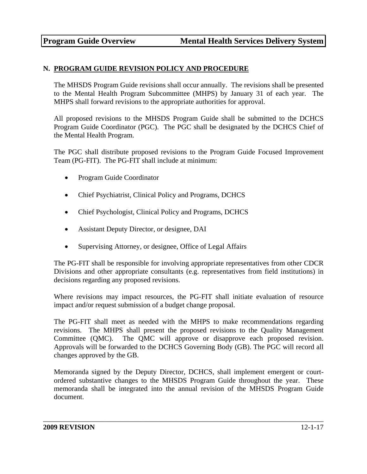### **N. PROGRAM GUIDE REVISION POLICY AND PROCEDURE**

The MHSDS Program Guide revisions shall occur annually. The revisions shall be presented to the Mental Health Program Subcommittee (MHPS) by January 31 of each year. The MHPS shall forward revisions to the appropriate authorities for approval.

All proposed revisions to the MHSDS Program Guide shall be submitted to the DCHCS Program Guide Coordinator (PGC). The PGC shall be designated by the DCHCS Chief of the Mental Health Program.

The PGC shall distribute proposed revisions to the Program Guide Focused Improvement Team (PG-FIT). The PG-FIT shall include at minimum:

- Program Guide Coordinator
- Chief Psychiatrist, Clinical Policy and Programs, DCHCS
- Chief Psychologist, Clinical Policy and Programs, DCHCS
- Assistant Deputy Director, or designee, DAI
- Supervising Attorney, or designee, Office of Legal Affairs

The PG-FIT shall be responsible for involving appropriate representatives from other CDCR Divisions and other appropriate consultants (e.g. representatives from field institutions) in decisions regarding any proposed revisions.

Where revisions may impact resources, the PG-FIT shall initiate evaluation of resource impact and/or request submission of a budget change proposal.

The PG-FIT shall meet as needed with the MHPS to make recommendations regarding revisions. The MHPS shall present the proposed revisions to the Quality Management Committee (QMC). The QMC will approve or disapprove each proposed revision. Approvals will be forwarded to the DCHCS Governing Body (GB). The PGC will record all changes approved by the GB.

Memoranda signed by the Deputy Director, DCHCS, shall implement emergent or courtordered substantive changes to the MHSDS Program Guide throughout the year. These memoranda shall be integrated into the annual revision of the MHSDS Program Guide document.